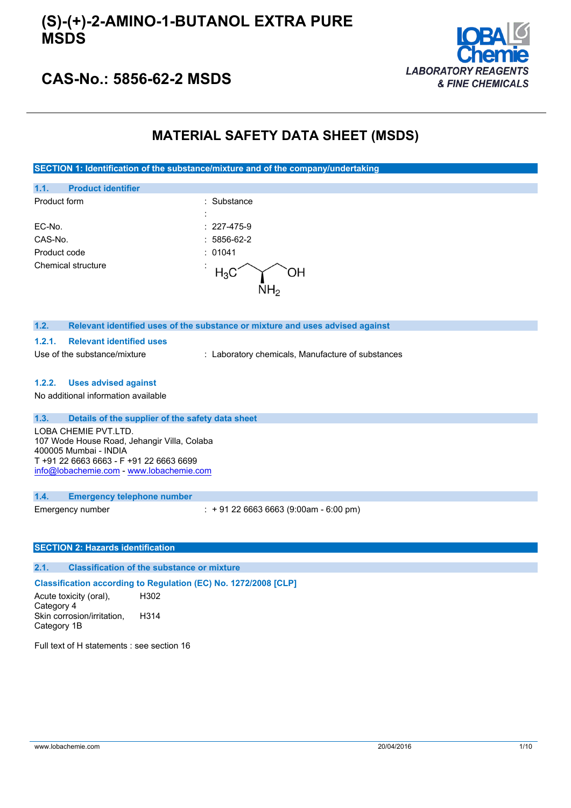### **(S)-(+)-2-AMINO-1-BUTANOL EXTRA PURE MSDS**



### **CAS-No.: 5856-62-2 MSDS**

### **MATERIAL SAFETY DATA SHEET (MSDS)**

**SECTION 1: Identification of the substance/mixture and of the company/undertaking**

| 1.1.<br><b>Product identifier</b> |                   |
|-----------------------------------|-------------------|
| Product form                      | : Substance       |
|                                   | $\blacksquare$    |
| EC-No.                            | $: 227 - 475 - 9$ |
| CAS-No.                           | $: 5856-62-2$     |
| Product code                      | : 01041           |
| Chemical structure                | $\bullet$         |

### **1.2. Relevant identified uses of the substance or mixture and uses advised against**

#### **1.2.1. Relevant identified uses**

Use of the substance/mixture : Laboratory chemicals, Manufacture of substances

#### **1.2.2. Uses advised against**

No additional information available

### **1.3. Details of the supplier of the safety data sheet**

LOBA CHEMIE PVT.LTD. 107 Wode House Road, Jehangir Villa, Colaba 400005 Mumbai - INDIA T +91 22 6663 6663 - F +91 22 6663 6699 [info@lobachemie.com](mailto:info@lobachemie.com) - <www.lobachemie.com>

#### **1.4. Emergency telephone number**

Emergency number : + 91 22 6663 6663 (9:00am - 6:00 pm)

### **SECTION 2: Hazards identification**

#### **2.1. Classification of the substance or mixture**

**Classification according to Regulation (EC) No. 1272/2008 [CLP]**

Acute toxicity (oral), Category 4 H302 Skin corrosion/irritation, Category 1B H314

Full text of H statements : see section 16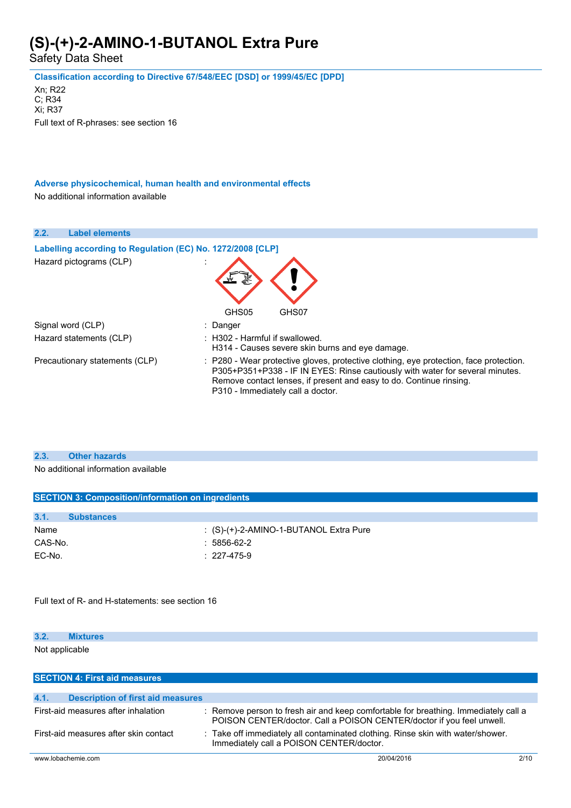Safety Data Sheet

**Classification according to Directive 67/548/EEC [DSD] or 1999/45/EC [DPD]**

Xn; R22 C; R34 Xi; R37 Full text of R-phrases: see section 16

**Adverse physicochemical, human health and environmental effects** No additional information available

| 2.2.              | <b>Label elements</b>                                      |                                                                                                                                                                                                                                                                                     |
|-------------------|------------------------------------------------------------|-------------------------------------------------------------------------------------------------------------------------------------------------------------------------------------------------------------------------------------------------------------------------------------|
|                   | Labelling according to Regulation (EC) No. 1272/2008 [CLP] |                                                                                                                                                                                                                                                                                     |
|                   | Hazard pictograms (CLP)                                    |                                                                                                                                                                                                                                                                                     |
|                   |                                                            | GHS05<br>GHS07                                                                                                                                                                                                                                                                      |
| Signal word (CLP) |                                                            | : Danger                                                                                                                                                                                                                                                                            |
|                   | Hazard statements (CLP)                                    | $\pm$ H302 - Harmful if swallowed.<br>H314 - Causes severe skin burns and eye damage.                                                                                                                                                                                               |
|                   | Precautionary statements (CLP)                             | : P280 - Wear protective gloves, protective clothing, eye protection, face protection.<br>P305+P351+P338 - IF IN EYES: Rinse cautiously with water for several minutes.<br>Remove contact lenses, if present and easy to do. Continue rinsing.<br>P310 - Immediately call a doctor. |

#### **2.3. Other hazards**

No additional information available

| <b>SECTION 3: Composition/information on ingredients</b> |                                               |  |  |
|----------------------------------------------------------|-----------------------------------------------|--|--|
| 3.1.<br><b>Substances</b>                                |                                               |  |  |
| Name                                                     | $\colon$ (S)-(+)-2-AMINO-1-BUTANOL Extra Pure |  |  |
| CAS-No.                                                  | $: 5856-62-2$                                 |  |  |
| EC-No.                                                   | $: 227 - 475 - 9$                             |  |  |
|                                                          |                                               |  |  |

Full text of R- and H-statements: see section 16

| 3.2.           | <b>Mixtures</b> |  |  |  |
|----------------|-----------------|--|--|--|
| Not applicable |                 |  |  |  |

| <b>SECTION 4: First aid measures</b>             |                                                                                                                                                              |      |
|--------------------------------------------------|--------------------------------------------------------------------------------------------------------------------------------------------------------------|------|
| 4.1.<br><b>Description of first aid measures</b> |                                                                                                                                                              |      |
|                                                  |                                                                                                                                                              |      |
| First-aid measures after inhalation              | : Remove person to fresh air and keep comfortable for breathing. Immediately call a<br>POISON CENTER/doctor. Call a POISON CENTER/doctor if you feel unwell. |      |
| First-aid measures after skin contact            | : Take off immediately all contaminated clothing. Rinse skin with water/shower.<br>Immediately call a POISON CENTER/doctor.                                  |      |
| www.lobachemie.com                               | 20/04/2016                                                                                                                                                   | 2/10 |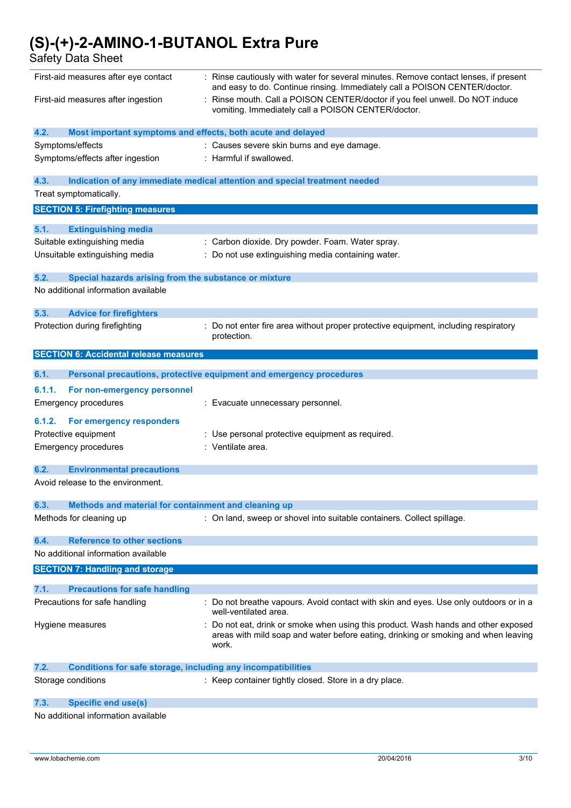Safety Data Sheet

| First-aid measures after eye contact                                        | : Rinse cautiously with water for several minutes. Remove contact lenses, if present<br>and easy to do. Continue rinsing. Immediately call a POISON CENTER/doctor. |
|-----------------------------------------------------------------------------|--------------------------------------------------------------------------------------------------------------------------------------------------------------------|
| First-aid measures after ingestion                                          | Rinse mouth. Call a POISON CENTER/doctor if you feel unwell. Do NOT induce<br>vomiting. Immediately call a POISON CENTER/doctor.                                   |
| 4.2.<br>Most important symptoms and effects, both acute and delayed         |                                                                                                                                                                    |
| Symptoms/effects                                                            | : Causes severe skin burns and eye damage.                                                                                                                         |
| Symptoms/effects after ingestion                                            | : Harmful if swallowed.                                                                                                                                            |
|                                                                             |                                                                                                                                                                    |
| 4.3.                                                                        | Indication of any immediate medical attention and special treatment needed                                                                                         |
| Treat symptomatically.                                                      |                                                                                                                                                                    |
| <b>SECTION 5: Firefighting measures</b>                                     |                                                                                                                                                                    |
|                                                                             |                                                                                                                                                                    |
| 5.1.<br><b>Extinguishing media</b>                                          |                                                                                                                                                                    |
| Suitable extinguishing media                                                | : Carbon dioxide. Dry powder. Foam. Water spray.                                                                                                                   |
| Unsuitable extinguishing media                                              | : Do not use extinguishing media containing water.                                                                                                                 |
| 5.2.<br>Special hazards arising from the substance or mixture               |                                                                                                                                                                    |
| No additional information available                                         |                                                                                                                                                                    |
|                                                                             |                                                                                                                                                                    |
| 5.3.<br><b>Advice for firefighters</b>                                      |                                                                                                                                                                    |
| Protection during firefighting                                              | : Do not enter fire area without proper protective equipment, including respiratory                                                                                |
|                                                                             | protection.                                                                                                                                                        |
| <b>SECTION 6: Accidental release measures</b>                               |                                                                                                                                                                    |
|                                                                             |                                                                                                                                                                    |
| 6.1.                                                                        | Personal precautions, protective equipment and emergency procedures                                                                                                |
| 6.1.1.<br>For non-emergency personnel                                       |                                                                                                                                                                    |
| <b>Emergency procedures</b>                                                 | : Evacuate unnecessary personnel.                                                                                                                                  |
| For emergency responders<br>6.1.2.                                          |                                                                                                                                                                    |
|                                                                             |                                                                                                                                                                    |
| Protective equipment                                                        | : Use personal protective equipment as required.                                                                                                                   |
| <b>Emergency procedures</b>                                                 | : Ventilate area.                                                                                                                                                  |
| 6.2.<br><b>Environmental precautions</b>                                    |                                                                                                                                                                    |
| Avoid release to the environment.                                           |                                                                                                                                                                    |
|                                                                             |                                                                                                                                                                    |
| 6.3.<br>Methods and material for containment and cleaning up                |                                                                                                                                                                    |
| Methods for cleaning up                                                     | : On land, sweep or shovel into suitable containers. Collect spillage.                                                                                             |
|                                                                             |                                                                                                                                                                    |
| <b>Reference to other sections</b><br>6.4.                                  |                                                                                                                                                                    |
| No additional information available                                         |                                                                                                                                                                    |
| <b>SECTION 7: Handling and storage</b>                                      |                                                                                                                                                                    |
|                                                                             |                                                                                                                                                                    |
| 7.1.<br><b>Precautions for safe handling</b>                                |                                                                                                                                                                    |
| Precautions for safe handling                                               | : Do not breathe vapours. Avoid contact with skin and eyes. Use only outdoors or in a<br>well-ventilated area.                                                     |
| Hygiene measures                                                            | Do not eat, drink or smoke when using this product. Wash hands and other exposed                                                                                   |
|                                                                             | areas with mild soap and water before eating, drinking or smoking and when leaving                                                                                 |
|                                                                             | work.                                                                                                                                                              |
|                                                                             |                                                                                                                                                                    |
| 7.2.<br><b>Conditions for safe storage, including any incompatibilities</b> |                                                                                                                                                                    |
| Storage conditions                                                          | : Keep container tightly closed. Store in a dry place.                                                                                                             |
| <b>Specific end use(s)</b><br>7.3.                                          |                                                                                                                                                                    |
| No additional information available                                         |                                                                                                                                                                    |
|                                                                             |                                                                                                                                                                    |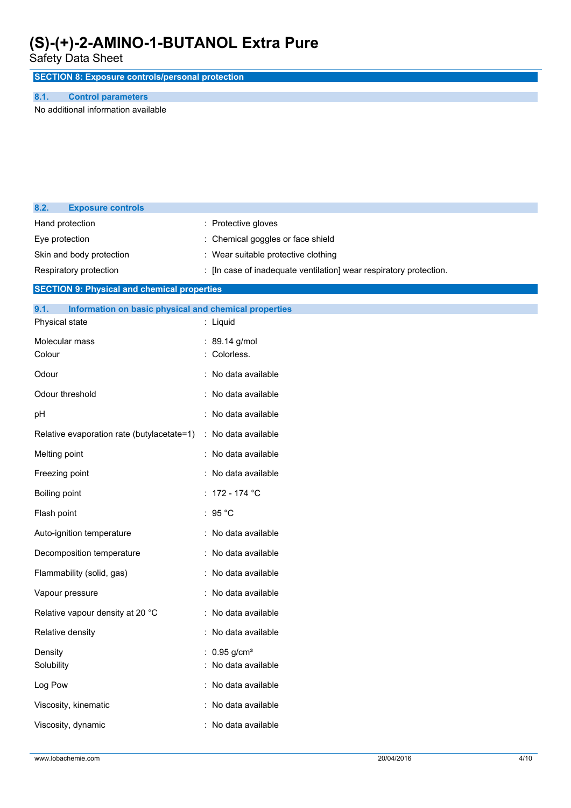Safety Data Sheet

**SECTION 8: Exposure controls/personal protection**

#### **8.1. Control parameters**

**8.2. Exposure controls**

No additional information available

| 0.4.<br><b>LAPUSULE CUTTLINIS</b>                             |                                                                    |
|---------------------------------------------------------------|--------------------------------------------------------------------|
| Hand protection                                               | : Protective gloves                                                |
| Eye protection                                                | Chemical goggles or face shield                                    |
| Skin and body protection                                      | : Wear suitable protective clothing                                |
| Respiratory protection                                        | : [In case of inadequate ventilation] wear respiratory protection. |
| <b>SECTION 9: Physical and chemical properties</b>            |                                                                    |
| 9.1.<br>Information on basic physical and chemical properties |                                                                    |
| Physical state                                                | : Liquid                                                           |
| Molecular mass                                                | : 89.14 g/mol                                                      |
| Colour                                                        | Colorless.                                                         |
| Odour                                                         | : No data available                                                |
| Odour threshold                                               | : No data available                                                |
| рH                                                            | : No data available                                                |
| Relative evaporation rate (butylacetate=1)                    | : No data available                                                |
| Melting point                                                 | : No data available                                                |
| Freezing point                                                | : No data available                                                |
| Boiling point                                                 | : 172 - 174 $^{\circ}$ C                                           |
| Flash point                                                   | : $95^{\circ}$ C                                                   |
| Auto-ignition temperature                                     | : No data available                                                |
| Decomposition temperature                                     | : No data available                                                |
| Flammability (solid, gas)                                     | : No data available                                                |
| Vapour pressure                                               | : No data available                                                |
| Relative vapour density at 20 °C                              | : No data available                                                |
| Relative density                                              | : No data available                                                |
| Density                                                       | : $0.95$ g/cm <sup>3</sup>                                         |
| Solubility                                                    | : No data available                                                |
| Log Pow                                                       | : No data available                                                |
| Viscosity, kinematic                                          | : No data available                                                |
| Viscosity, dynamic                                            | : No data available                                                |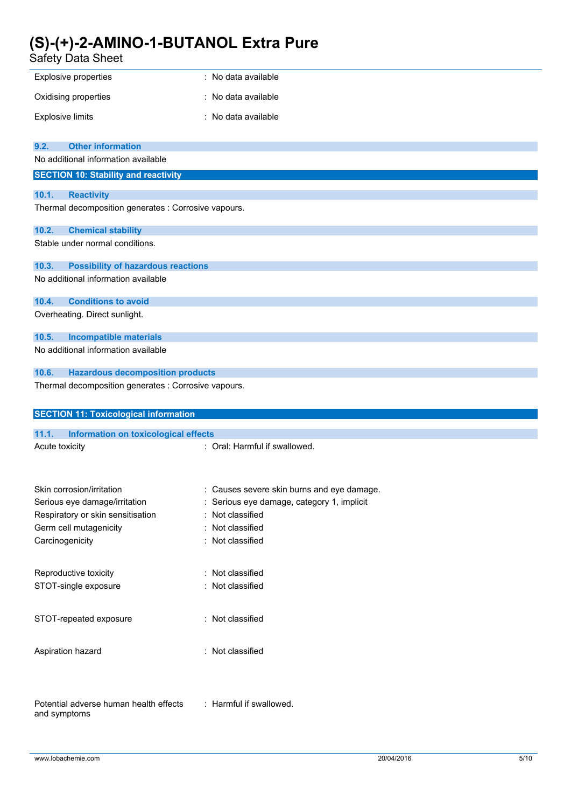| Safety Data Sheet                                    |                                            |
|------------------------------------------------------|--------------------------------------------|
| Explosive properties                                 | : No data available                        |
| Oxidising properties                                 | : No data available                        |
| <b>Explosive limits</b>                              | : No data available                        |
| <b>Other information</b><br>9.2.                     |                                            |
| No additional information available                  |                                            |
| <b>SECTION 10: Stability and reactivity</b>          |                                            |
| 10.1.<br><b>Reactivity</b>                           |                                            |
| Thermal decomposition generates : Corrosive vapours. |                                            |
| 10.2.<br><b>Chemical stability</b>                   |                                            |
| Stable under normal conditions.                      |                                            |
| 10.3.<br><b>Possibility of hazardous reactions</b>   |                                            |
| No additional information available                  |                                            |
| 10.4.<br><b>Conditions to avoid</b>                  |                                            |
| Overheating. Direct sunlight.                        |                                            |
| <b>Incompatible materials</b><br>10.5.               |                                            |
| No additional information available                  |                                            |
| 10.6.<br><b>Hazardous decomposition products</b>     |                                            |
| Thermal decomposition generates : Corrosive vapours. |                                            |
|                                                      |                                            |
| <b>SECTION 11: Toxicological information</b>         |                                            |
| 11.1.<br><b>Information on toxicological effects</b> |                                            |
| Acute toxicity                                       | : Oral: Harmful if swallowed.              |
|                                                      |                                            |
| Skin corrosion/irritation                            | : Causes severe skin burns and eye damage. |
| Serious eye damage/irritation                        | : Serious eye damage, category 1, implicit |
| Respiratory or skin sensitisation                    | : Not classified                           |
| Germ cell mutagenicity                               | : Not classified                           |
| Carcinogenicity                                      | : Not classified                           |
| Reproductive toxicity                                | : Not classified                           |
| STOT-single exposure                                 | : Not classified                           |
| STOT-repeated exposure                               | : Not classified                           |
| Aspiration hazard                                    | : Not classified                           |
|                                                      |                                            |

and symptoms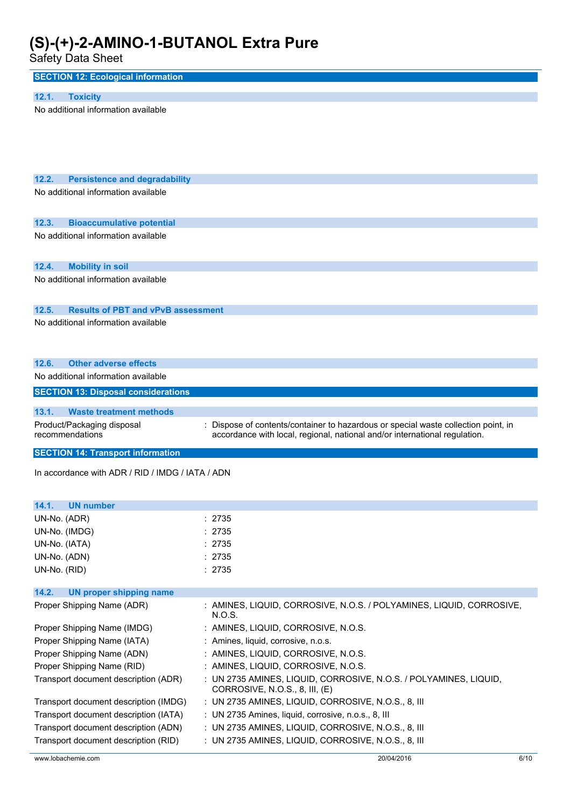Safety Data Sheet

| <b>SECTION 12: Ecological information</b>          |                                                                                                     |
|----------------------------------------------------|-----------------------------------------------------------------------------------------------------|
|                                                    |                                                                                                     |
| 12.1.<br><b>Toxicity</b>                           |                                                                                                     |
| No additional information available                |                                                                                                     |
|                                                    |                                                                                                     |
| 12.2.<br><b>Persistence and degradability</b>      |                                                                                                     |
| No additional information available                |                                                                                                     |
|                                                    |                                                                                                     |
| 12.3.<br><b>Bioaccumulative potential</b>          |                                                                                                     |
| No additional information available                |                                                                                                     |
|                                                    |                                                                                                     |
| 12.4.<br><b>Mobility in soil</b>                   |                                                                                                     |
| No additional information available                |                                                                                                     |
| 12.5.<br><b>Results of PBT and vPvB assessment</b> |                                                                                                     |
| No additional information available                |                                                                                                     |
|                                                    |                                                                                                     |
| <b>Other adverse effects</b><br>12.6.              |                                                                                                     |
| No additional information available                |                                                                                                     |
| <b>SECTION 13: Disposal considerations</b>         |                                                                                                     |
| 13.1.<br><b>Waste treatment methods</b>            |                                                                                                     |
| Product/Packaging disposal                         | Dispose of contents/container to hazardous or special waste collection point, in                    |
| recommendations                                    | accordance with local, regional, national and/or international regulation.                          |
| <b>SECTION 14: Transport information</b>           |                                                                                                     |
| In accordance with ADR / RID / IMDG / IATA / ADN   |                                                                                                     |
|                                                    |                                                                                                     |
| <b>UN number</b><br>14.1.                          |                                                                                                     |
| UN-No. (ADR)                                       | : 2735                                                                                              |
| UN-No. (IMDG)                                      | : 2735                                                                                              |
| UN-No. (IATA)                                      | : 2735                                                                                              |
| UN-No. (ADN)                                       | : 2735                                                                                              |
| UN-No. (RID)                                       | : 2735                                                                                              |
| 14.2.<br><b>UN proper shipping name</b>            |                                                                                                     |
| Proper Shipping Name (ADR)                         | : AMINES, LIQUID, CORROSIVE, N.O.S. / POLYAMINES, LIQUID, CORROSIVE,<br>N.O.S.                      |
| Proper Shipping Name (IMDG)                        | : AMINES, LIQUID, CORROSIVE, N.O.S.                                                                 |
| Proper Shipping Name (IATA)                        | : Amines, liquid, corrosive, n.o.s.                                                                 |
| Proper Shipping Name (ADN)                         | : AMINES, LIQUID, CORROSIVE, N.O.S.                                                                 |
| Proper Shipping Name (RID)                         | : AMINES, LIQUID, CORROSIVE, N.O.S.                                                                 |
| Transport document description (ADR)               | : UN 2735 AMINES, LIQUID, CORROSIVE, N.O.S. / POLYAMINES, LIQUID,<br>CORROSIVE, N.O.S., 8, III, (E) |
| Transport document description (IMDG)              | : UN 2735 AMINES, LIQUID, CORROSIVE, N.O.S., 8, III                                                 |
| Transport document description (IATA)              | : UN 2735 Amines, liquid, corrosive, n.o.s., 8, III                                                 |
| Transport document description (ADN)               | : UN 2735 AMINES, LIQUID, CORROSIVE, N.O.S., 8, III                                                 |
| Transport document description (RID)               | : UN 2735 AMINES, LIQUID, CORROSIVE, N.O.S., 8, III                                                 |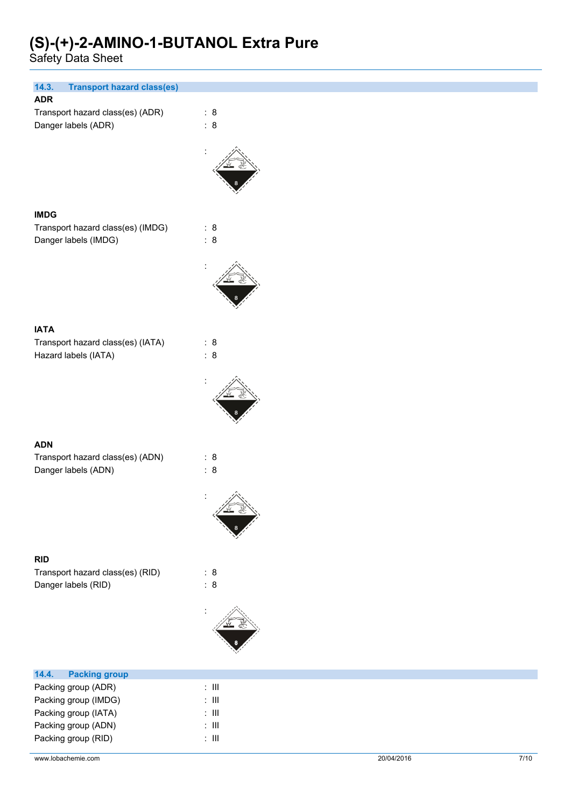Safety Data Sheet

| 14.3.<br><b>Transport hazard class(es)</b>  |                |
|---------------------------------------------|----------------|
| <b>ADR</b>                                  |                |
| Transport hazard class(es) (ADR)            | : 8            |
| Danger labels (ADR)                         | : 8            |
|                                             |                |
|                                             |                |
|                                             |                |
|                                             |                |
|                                             |                |
|                                             |                |
| <b>IMDG</b>                                 |                |
| Transport hazard class(es) (IMDG)           | : 8            |
| Danger labels (IMDG)                        | : 8            |
|                                             |                |
|                                             |                |
|                                             |                |
|                                             |                |
|                                             |                |
|                                             |                |
| <b>IATA</b>                                 |                |
| Transport hazard class(es) (IATA)           | : 8            |
| Hazard labels (IATA)                        | $\therefore$ 8 |
|                                             |                |
|                                             |                |
|                                             |                |
|                                             |                |
|                                             |                |
|                                             |                |
| <b>ADN</b>                                  |                |
| Transport hazard class(es) (ADN)            | : 8            |
| Danger labels (ADN)                         | : 8            |
|                                             |                |
|                                             |                |
|                                             |                |
|                                             |                |
|                                             |                |
|                                             |                |
| <b>RID</b>                                  |                |
| Transport hazard class(es) (RID)            | : 8            |
|                                             | : 8            |
| Danger labels (RID)                         |                |
|                                             |                |
|                                             |                |
|                                             |                |
|                                             |                |
|                                             |                |
| 14.4.<br><b>Packing group</b>               |                |
|                                             | $\colon$ III   |
| Packing group (ADR)<br>Packing group (IMDG) | $\div$ III     |
| Packing group (IATA)                        | $\div$ III     |
| Packing group (ADN)                         | $\div$ III     |
|                                             |                |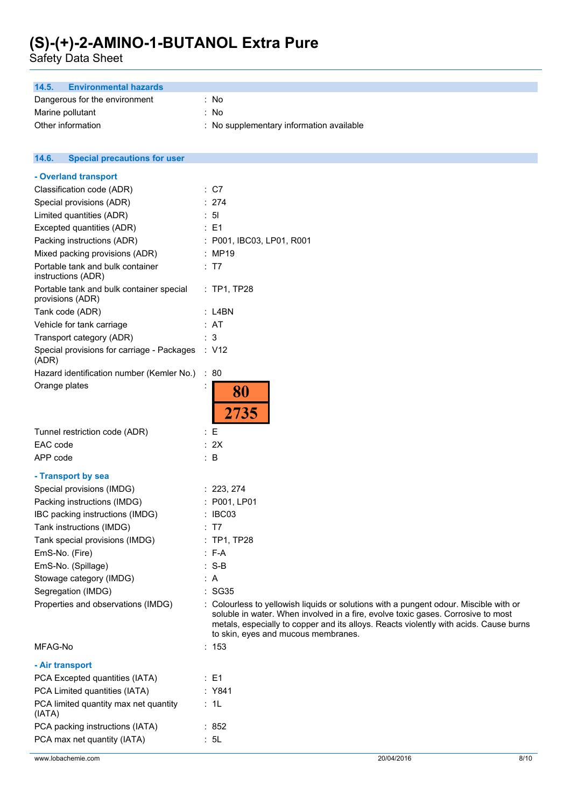Safety Data Sheet

| <b>Environmental hazards</b><br>14.5.                        |                                                                                                                                                                                                                                                                                                           |
|--------------------------------------------------------------|-----------------------------------------------------------------------------------------------------------------------------------------------------------------------------------------------------------------------------------------------------------------------------------------------------------|
| Dangerous for the environment                                | : No                                                                                                                                                                                                                                                                                                      |
| Marine pollutant                                             | : No                                                                                                                                                                                                                                                                                                      |
| Other information                                            | : No supplementary information available                                                                                                                                                                                                                                                                  |
|                                                              |                                                                                                                                                                                                                                                                                                           |
| 14.6.<br><b>Special precautions for user</b>                 |                                                                                                                                                                                                                                                                                                           |
| - Overland transport                                         |                                                                                                                                                                                                                                                                                                           |
| Classification code (ADR)                                    | : C7                                                                                                                                                                                                                                                                                                      |
| Special provisions (ADR)                                     | : 274                                                                                                                                                                                                                                                                                                     |
| Limited quantities (ADR)                                     | : 51                                                                                                                                                                                                                                                                                                      |
| Excepted quantities (ADR)                                    | $\therefore$ E1                                                                                                                                                                                                                                                                                           |
| Packing instructions (ADR)                                   | : P001, IBC03, LP01, R001                                                                                                                                                                                                                                                                                 |
| Mixed packing provisions (ADR)                               | : MP19                                                                                                                                                                                                                                                                                                    |
| Portable tank and bulk container                             | : T7                                                                                                                                                                                                                                                                                                      |
| instructions (ADR)                                           |                                                                                                                                                                                                                                                                                                           |
| Portable tank and bulk container special<br>provisions (ADR) | : TP1, TP28                                                                                                                                                                                                                                                                                               |
| Tank code (ADR)                                              | $:$ L4BN                                                                                                                                                                                                                                                                                                  |
| Vehicle for tank carriage                                    | : AT                                                                                                                                                                                                                                                                                                      |
| Transport category (ADR)                                     | : 3                                                                                                                                                                                                                                                                                                       |
| Special provisions for carriage - Packages<br>(ADR)          | : V12                                                                                                                                                                                                                                                                                                     |
| Hazard identification number (Kemler No.)                    | : 80                                                                                                                                                                                                                                                                                                      |
| Orange plates                                                | 80<br>2735                                                                                                                                                                                                                                                                                                |
| Tunnel restriction code (ADR)                                | : E                                                                                                                                                                                                                                                                                                       |
| EAC code                                                     | : 2X                                                                                                                                                                                                                                                                                                      |
| APP code                                                     | $\therefore$ B                                                                                                                                                                                                                                                                                            |
| - Transport by sea                                           |                                                                                                                                                                                                                                                                                                           |
| Special provisions (IMDG)                                    | : 223, 274                                                                                                                                                                                                                                                                                                |
| Packing instructions (IMDG)                                  | : P001, LP01                                                                                                                                                                                                                                                                                              |
| IBC packing instructions (IMDG)                              | : IBC03                                                                                                                                                                                                                                                                                                   |
| Tank instructions (IMDG)                                     | : T7                                                                                                                                                                                                                                                                                                      |
| Tank special provisions (IMDG)                               | : TP1, TP28                                                                                                                                                                                                                                                                                               |
| EmS-No. (Fire)                                               | $: F-A$                                                                                                                                                                                                                                                                                                   |
| EmS-No. (Spillage)                                           | $: S-B$                                                                                                                                                                                                                                                                                                   |
| Stowage category (IMDG)                                      | : A                                                                                                                                                                                                                                                                                                       |
| Segregation (IMDG)                                           | SG35                                                                                                                                                                                                                                                                                                      |
| Properties and observations (IMDG)                           | : Colourless to yellowish liquids or solutions with a pungent odour. Miscible with or<br>soluble in water. When involved in a fire, evolve toxic gases. Corrosive to most<br>metals, especially to copper and its alloys. Reacts violently with acids. Cause burns<br>to skin, eyes and mucous membranes. |
| MFAG-No                                                      | : 153                                                                                                                                                                                                                                                                                                     |
| - Air transport                                              |                                                                                                                                                                                                                                                                                                           |

| PCA Excepted quantities (IATA)                  | : E1    |
|-------------------------------------------------|---------|
| PCA Limited quantities (IATA)                   | : Y841  |
| PCA limited quantity max net quantity<br>(IATA) | : 1L    |
| PCA packing instructions (IATA)                 | : $852$ |
| PCA max net quantity (IATA)                     | : 5L    |
|                                                 |         |

www.lobachemie.com 20/04/2016 8/10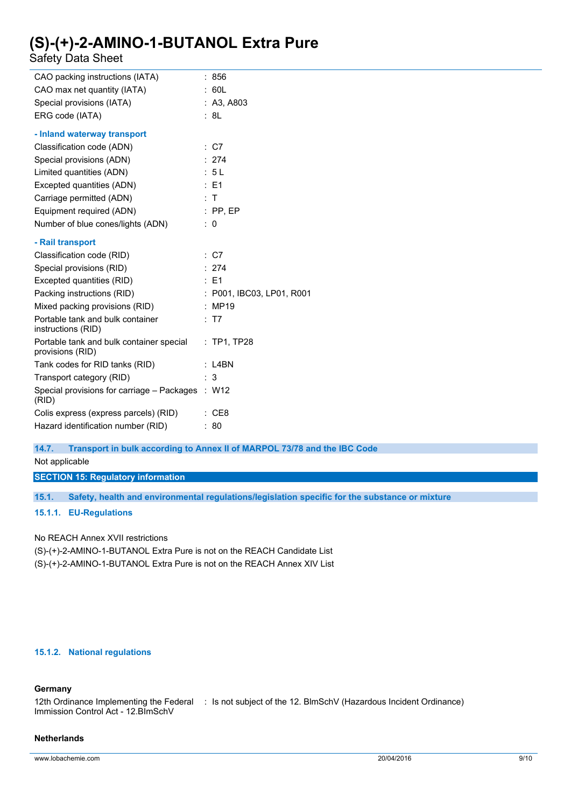Safety Data Sheet

| CAO packing instructions (IATA)                              | 856                       |
|--------------------------------------------------------------|---------------------------|
| CAO max net quantity (IATA)                                  | : 60L                     |
| Special provisions (IATA)                                    | : A3, A803                |
| ERG code (IATA)                                              | : 8L                      |
| - Inland waterway transport                                  |                           |
| Classification code (ADN)                                    | $\therefore$ C7           |
| Special provisions (ADN)                                     | : 274                     |
| Limited quantities (ADN)                                     | : 5L                      |
| Excepted quantities (ADN)                                    | : E1                      |
| Carriage permitted (ADN)                                     | ÷Т                        |
| Equipment required (ADN)                                     | $:$ PP, EP                |
| Number of blue cones/lights (ADN)                            | : 0                       |
| - Rail transport                                             |                           |
| Classification code (RID)                                    | : C7                      |
| Special provisions (RID)                                     | : 274                     |
| Excepted quantities (RID)                                    | $\therefore$ E1           |
| Packing instructions (RID)                                   | : P001, IBC03, LP01, R001 |
| Mixed packing provisions (RID)                               | : MP19                    |
| Portable tank and bulk container<br>instructions (RID)       | : T7                      |
| Portable tank and bulk container special<br>provisions (RID) | : TP1, TP28               |
| Tank codes for RID tanks (RID)                               | $:$ L4BN                  |
| Transport category (RID)                                     | 3                         |
| Special provisions for carriage - Packages<br>(RID)          | : W12                     |
| Colis express (express parcels) (RID)                        | CE8                       |
| Hazard identification number (RID)                           | 80                        |

**14.7. Transport in bulk according to Annex II of MARPOL 73/78 and the IBC Code**

Not applicable

**SECTION 15: Regulatory information**

**15.1. Safety, health and environmental regulations/legislation specific for the substance or mixture**

**15.1.1. EU-Regulations**

No REACH Annex XVII restrictions

(S)-(+)-2-AMINO-1-BUTANOL Extra Pure is not on the REACH Candidate List

(S)-(+)-2-AMINO-1-BUTANOL Extra Pure is not on the REACH Annex XIV List

### **15.1.2. National regulations**

### **Germany**

12th Ordinance Implementing the Federal : Is not subject of the 12. BlmSchV (Hazardous Incident Ordinance) Immission Control Act - 12.BImSchV

### **Netherlands**